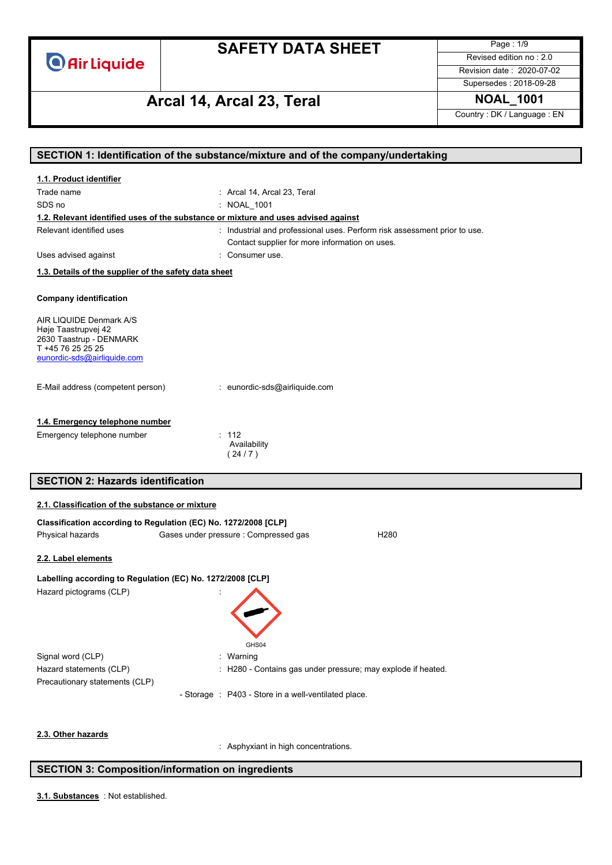

Page : 1/9 Revised edition no : 2.0 Revision date : 2020-07-02

Supersedes : 2018-09-28

# **Arcal 14, Arcal 23, Teral NOAL\_1001**

Country : DK / Language : EN

|                                                                                    | SECTION 1: Identification of the substance/mixture and of the company/undertaking |
|------------------------------------------------------------------------------------|-----------------------------------------------------------------------------------|
| 1.1. Product identifier                                                            |                                                                                   |
| Trade name                                                                         | : Arcal 14, Arcal 23, Teral                                                       |
| SDS no                                                                             | : NOAL_1001                                                                       |
| 1.2. Relevant identified uses of the substance or mixture and uses advised against |                                                                                   |
| Relevant identified uses                                                           | : Industrial and professional uses. Perform risk assessment prior to use.         |
|                                                                                    | Contact supplier for more information on uses.                                    |
| Uses advised against                                                               | : Consumer use.                                                                   |
| 1.3. Details of the supplier of the safety data sheet                              |                                                                                   |
|                                                                                    |                                                                                   |
| <b>Company identification</b>                                                      |                                                                                   |
| AIR LIQUIDE Denmark A/S                                                            |                                                                                   |
| Høje Taastrupvej 42                                                                |                                                                                   |
| 2630 Taastrup - DENMARK<br>T +45 76 25 25 25                                       |                                                                                   |
| eunordic-sds@airliquide.com                                                        |                                                                                   |
|                                                                                    |                                                                                   |
| E-Mail address (competent person)                                                  | : eunordic-sds@airliquide.com                                                     |
|                                                                                    |                                                                                   |
|                                                                                    |                                                                                   |
| 1.4. Emergency telephone number                                                    |                                                                                   |
| Emergency telephone number                                                         | : 112<br>Availability                                                             |
|                                                                                    | (24/7)                                                                            |
|                                                                                    |                                                                                   |
| <b>SECTION 2: Hazards identification</b>                                           |                                                                                   |
| 2.1. Classification of the substance or mixture                                    |                                                                                   |
| Classification according to Regulation (EC) No. 1272/2008 [CLP]                    |                                                                                   |
| Physical hazards                                                                   | Gases under pressure : Compressed gas<br>H <sub>280</sub>                         |
|                                                                                    |                                                                                   |
| 2.2. Label elements                                                                |                                                                                   |
|                                                                                    |                                                                                   |
| Labelling according to Regulation (EC) No. 1272/2008 [CLP]                         |                                                                                   |
| Hazard pictograms (CLP)                                                            |                                                                                   |
|                                                                                    |                                                                                   |
|                                                                                    |                                                                                   |
|                                                                                    |                                                                                   |
|                                                                                    | GHS04                                                                             |
| Signal word (CLP)                                                                  | : Warning                                                                         |
| Hazard statements (CLP)                                                            | : H280 - Contains gas under pressure; may explode if heated.                      |
| Precautionary statements (CLP)                                                     |                                                                                   |
|                                                                                    | - Storage : P403 - Store in a well-ventilated place.                              |
|                                                                                    |                                                                                   |
| 2.3. Other hazards                                                                 |                                                                                   |

### **SECTION 3: Composition/information on ingredients**

: Not established. **3.1. Substances**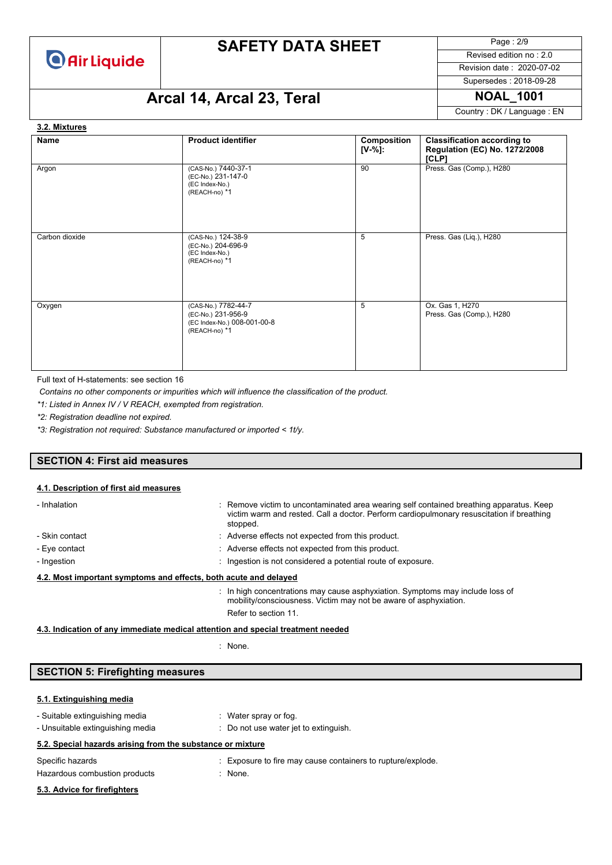

Page : 2/9 Revised edition no : 2.0

Revision date : 2020-07-02

## Supersedes : 2018-09-28

# **Arcal 14, Arcal 23, Teral NOAL\_1001**

Country : DK / Language : EN

#### **Name Product identifier Product identifier Composition [V-%]: Classification according to Regulation (EC) No. 1272/2008 [CLP]** Argon (CAS-No.) 7440-37-1 (EC-No.) 231-147-0 (EC Index-No.) (REACH-no) \*1 90 Press. Gas (Comp.), H280 Carbon dioxide (CAS-No.) 124-38-9 (EC-No.) 204-696-9 (EC Index-No.) (REACH-no) \*1 5 Press. Gas (Liq.), H280 Oxygen (CAS-No.) 7782-44-7 (EC-No.) 231-956-9 (EC Index-No.) 008-001-00-8 (REACH-no) \*1 5 Ox. Gas 1, H270 Press. Gas (Comp.), H280 **3.2. Mixtures**

Full text of H-statements: see section 16

*Contains no other components or impurities which will influence the classification of the product.*

*\*1: Listed in Annex IV / V REACH, exempted from registration.*

*\*2: Registration deadline not expired.*

*\*3: Registration not required: Substance manufactured or imported < 1t/y.*

#### **SECTION 4: First aid measures**

#### **4.1. Description of first aid measures**

| - Inhalation                                                     |  | : Remove victim to uncontaminated area wearing self contained breathing apparatus. Keep<br>victim warm and rested. Call a doctor. Perform cardiopulmonary resuscitation if breathing<br>stopped. |
|------------------------------------------------------------------|--|--------------------------------------------------------------------------------------------------------------------------------------------------------------------------------------------------|
| - Skin contact                                                   |  | : Adverse effects not expected from this product.                                                                                                                                                |
| - Eye contact                                                    |  | : Adverse effects not expected from this product.                                                                                                                                                |
| - Ingestion                                                      |  | : Ingestion is not considered a potential route of exposure.                                                                                                                                     |
| 4.2. Most important symptoms and effects, both acute and delayed |  |                                                                                                                                                                                                  |
|                                                                  |  | : In high concentrations may cause asphyxiation. Symptoms may include loss of<br>mobility/consciousness. Victim may not be aware of asphyxiation.<br>Refer to section 11.                        |

**4.3. Indication of any immediate medical attention and special treatment needed**

: None.

### **SECTION 5: Firefighting measures**

#### **5.1. Extinguishing media**

| - Suitable extinguishing media<br>- Unsuitable extinguishing media | : Water spray or fog.<br>: Do not use water jet to extinguish.           |
|--------------------------------------------------------------------|--------------------------------------------------------------------------|
| 5.2. Special hazards arising from the substance or mixture         |                                                                          |
| Specific hazards<br>Hazardous combustion products                  | : Exposure to fire may cause containers to rupture/explode.<br>$:$ None. |
| 5.3. Advice for firefighters                                       |                                                                          |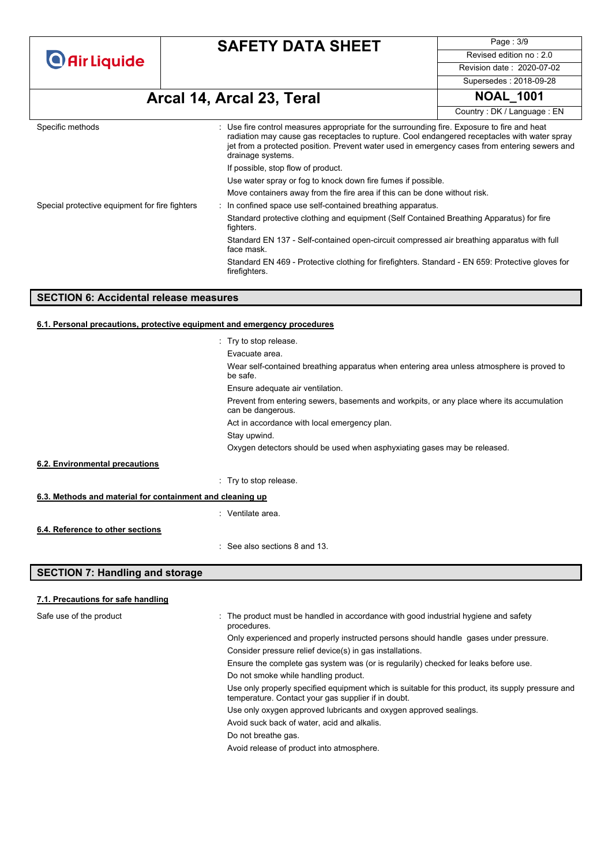| <b>O</b> Air Liquide |
|----------------------|
|----------------------|

Page : 3/9 Revised edition no : 2.0 Revision date : 2020-07-02 Supersedes : 2018-09-28

# **Arcal 14, Arcal 23, Teral NOAL\_1001**

|                                                |                                                                                                                                                                                                                                                                                                                   | Country: DK / Language: EN |
|------------------------------------------------|-------------------------------------------------------------------------------------------------------------------------------------------------------------------------------------------------------------------------------------------------------------------------------------------------------------------|----------------------------|
| Specific methods                               | : Use fire control measures appropriate for the surrounding fire. Exposure to fire and heat<br>radiation may cause gas receptacles to rupture. Cool endangered receptacles with water spray<br>jet from a protected position. Prevent water used in emergency cases from entering sewers and<br>drainage systems. |                            |
|                                                | If possible, stop flow of product.                                                                                                                                                                                                                                                                                |                            |
|                                                | Use water spray or fog to knock down fire fumes if possible.                                                                                                                                                                                                                                                      |                            |
|                                                | Move containers away from the fire area if this can be done without risk.                                                                                                                                                                                                                                         |                            |
| Special protective equipment for fire fighters | In confined space use self-contained breathing apparatus.                                                                                                                                                                                                                                                         |                            |
|                                                | Standard protective clothing and equipment (Self Contained Breathing Apparatus) for fire<br>fighters.                                                                                                                                                                                                             |                            |
|                                                | Standard EN 137 - Self-contained open-circuit compressed air breathing apparatus with full<br>face mask.                                                                                                                                                                                                          |                            |
|                                                | Standard EN 469 - Protective clothing for firefighters. Standard - EN 659: Protective gloves for<br>firefighters.                                                                                                                                                                                                 |                            |

#### **SECTION 6: Accidental release measures**

#### **6.1. Personal precautions, protective equipment and emergency procedures**

|                                                           | : Try to stop release.                                                                                         |
|-----------------------------------------------------------|----------------------------------------------------------------------------------------------------------------|
|                                                           | Evacuate area.                                                                                                 |
|                                                           | Wear self-contained breathing apparatus when entering area unless atmosphere is proved to<br>be safe.          |
|                                                           | Ensure adequate air ventilation.                                                                               |
|                                                           | Prevent from entering sewers, basements and workpits, or any place where its accumulation<br>can be dangerous. |
|                                                           | Act in accordance with local emergency plan.                                                                   |
|                                                           | Stay upwind.                                                                                                   |
|                                                           | Oxygen detectors should be used when asphyxiating gases may be released.                                       |
| 6.2. Environmental precautions                            |                                                                                                                |
|                                                           | : Try to stop release.                                                                                         |
| 6.3. Methods and material for containment and cleaning up |                                                                                                                |
|                                                           | : Ventilate area.                                                                                              |
| 6.4. Reference to other sections                          |                                                                                                                |
|                                                           | : See also sections 8 and 13.                                                                                  |
| <b>SECTION 7: Handling and storage</b>                    |                                                                                                                |

### **7.1. Precautions for safe handling**

| Safe use of the product | : The product must be handled in accordance with good industrial hygiene and safety<br>procedures.                                                       |
|-------------------------|----------------------------------------------------------------------------------------------------------------------------------------------------------|
|                         | Only experienced and properly instructed persons should handle gases under pressure.                                                                     |
|                         | Consider pressure relief device(s) in gas installations.                                                                                                 |
|                         | Ensure the complete gas system was (or is regularily) checked for leaks before use.                                                                      |
|                         | Do not smoke while handling product.                                                                                                                     |
|                         | Use only properly specified equipment which is suitable for this product, its supply pressure and<br>temperature. Contact your gas supplier if in doubt. |
|                         | Use only oxygen approved lubricants and oxygen approved sealings.                                                                                        |
|                         | Avoid suck back of water, acid and alkalis.                                                                                                              |
|                         | Do not breathe gas.                                                                                                                                      |
|                         | Avoid release of product into atmosphere.                                                                                                                |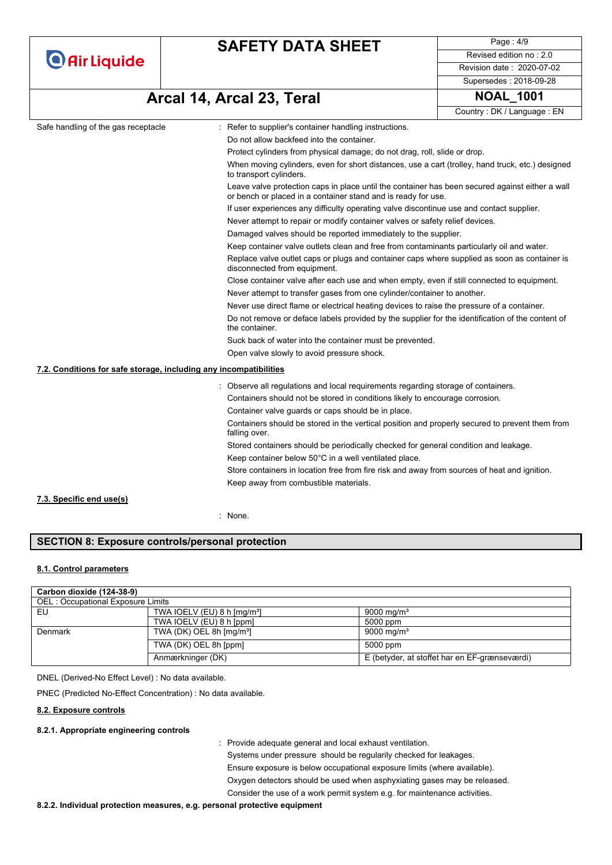|  | <b>O</b> Air Liquide |  |
|--|----------------------|--|
|  |                      |  |

Page : 4/9 Revised edition no : 2.0 Revision date : 2020-07-02 Supersedes : 2018-09-28

**Arcal 14, Arcal 23, Teral NOAL\_1001**

Country : DK / Language : EN

| Safe handling of the gas receptacle                                                                                | Refer to supplier's container handling instructions.                                                                                                                                                                                                                                            |  |  |
|--------------------------------------------------------------------------------------------------------------------|-------------------------------------------------------------------------------------------------------------------------------------------------------------------------------------------------------------------------------------------------------------------------------------------------|--|--|
|                                                                                                                    | Do not allow backfeed into the container.                                                                                                                                                                                                                                                       |  |  |
|                                                                                                                    | Protect cylinders from physical damage; do not drag, roll, slide or drop.                                                                                                                                                                                                                       |  |  |
|                                                                                                                    | When moving cylinders, even for short distances, use a cart (trolley, hand truck, etc.) designed<br>to transport cylinders.<br>Leave valve protection caps in place until the container has been secured against either a wall<br>or bench or placed in a container stand and is ready for use. |  |  |
|                                                                                                                    |                                                                                                                                                                                                                                                                                                 |  |  |
|                                                                                                                    | If user experiences any difficulty operating valve discontinue use and contact supplier.                                                                                                                                                                                                        |  |  |
|                                                                                                                    | Never attempt to repair or modify container valves or safety relief devices.                                                                                                                                                                                                                    |  |  |
|                                                                                                                    | Damaged valves should be reported immediately to the supplier.                                                                                                                                                                                                                                  |  |  |
|                                                                                                                    | Keep container valve outlets clean and free from contaminants particularly oil and water.                                                                                                                                                                                                       |  |  |
|                                                                                                                    | Replace valve outlet caps or plugs and container caps where supplied as soon as container is<br>disconnected from equipment.                                                                                                                                                                    |  |  |
|                                                                                                                    | Close container valve after each use and when empty, even if still connected to equipment.                                                                                                                                                                                                      |  |  |
|                                                                                                                    | Never attempt to transfer gases from one cylinder/container to another.                                                                                                                                                                                                                         |  |  |
|                                                                                                                    | Never use direct flame or electrical heating devices to raise the pressure of a container.                                                                                                                                                                                                      |  |  |
| Do not remove or deface labels provided by the supplier for the identification of the content of<br>the container. |                                                                                                                                                                                                                                                                                                 |  |  |
|                                                                                                                    | Suck back of water into the container must be prevented.<br>Open valve slowly to avoid pressure shock.                                                                                                                                                                                          |  |  |
|                                                                                                                    |                                                                                                                                                                                                                                                                                                 |  |  |
| 7.2. Conditions for safe storage, including any incompatibilities                                                  |                                                                                                                                                                                                                                                                                                 |  |  |
|                                                                                                                    | : Observe all regulations and local requirements regarding storage of containers.                                                                                                                                                                                                               |  |  |
|                                                                                                                    | Containers should not be stored in conditions likely to encourage corrosion.                                                                                                                                                                                                                    |  |  |
|                                                                                                                    | Container valve guards or caps should be in place.                                                                                                                                                                                                                                              |  |  |
|                                                                                                                    | Containers should be stored in the vertical position and properly secured to prevent them from<br>falling over.                                                                                                                                                                                 |  |  |
|                                                                                                                    | Stored containers should be periodically checked for general condition and leakage.                                                                                                                                                                                                             |  |  |
|                                                                                                                    | Keep container below 50°C in a well ventilated place.                                                                                                                                                                                                                                           |  |  |
|                                                                                                                    | Store containers in location free from fire risk and away from sources of heat and ignition.                                                                                                                                                                                                    |  |  |
|                                                                                                                    | Keep away from combustible materials.                                                                                                                                                                                                                                                           |  |  |
| 7.3. Specific end use(s)                                                                                           |                                                                                                                                                                                                                                                                                                 |  |  |

: None.

### **SECTION 8: Exposure controls/personal protection**

#### **8.1. Control parameters**

| Carbon dioxide (124-38-9)         |                                          |                                               |  |
|-----------------------------------|------------------------------------------|-----------------------------------------------|--|
| OEL: Occupational Exposure Limits |                                          |                                               |  |
| EU                                | TWA IOELV (EU) 8 h $\text{[mq/m³]}$      | 9000 mg/m <sup>3</sup>                        |  |
|                                   | TWA IOELV (EU) 8 h [ppm]                 | 5000 ppm                                      |  |
| Denmark                           | TWA (DK) OEL 8h $\text{[mq/m}^3\text{]}$ | 9000 mg/m <sup>3</sup>                        |  |
|                                   | TWA (DK) OEL 8h [ppm]                    | 5000 ppm                                      |  |
|                                   | Anmærkninger (DK)                        | E (betyder, at stoffet har en EF-grænseværdi) |  |

DNEL (Derived-No Effect Level) : No data available.

PNEC (Predicted No-Effect Concentration) : No data available.

#### **8.2. Exposure controls**

#### **8.2.1. Appropriate engineering controls**

: Provide adequate general and local exhaust ventilation.

Systems under pressure should be regularily checked for leakages. Ensure exposure is below occupational exposure limits (where available). Oxygen detectors should be used when asphyxiating gases may be released.

Consider the use of a work permit system e.g. for maintenance activities.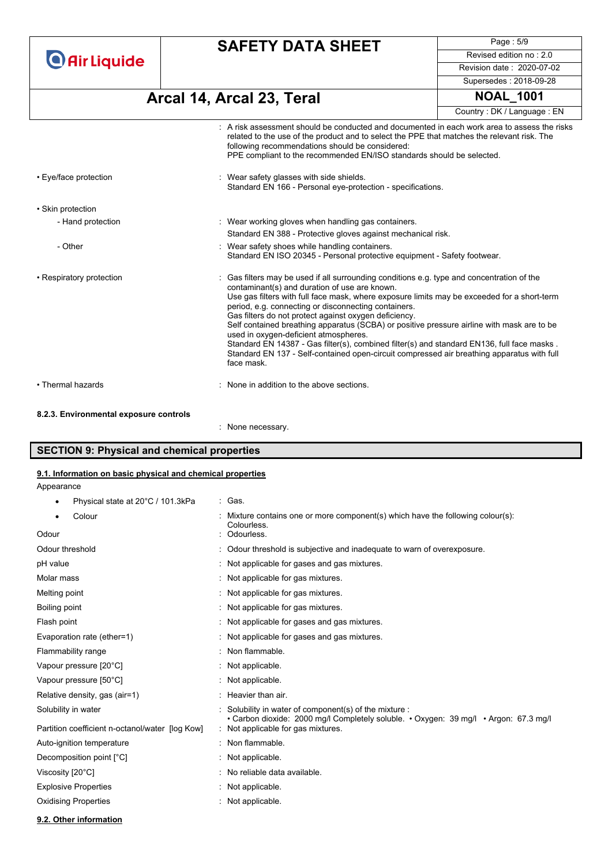**O** Air Liquide

### **SAFETY DATA SHEET**

Page : 5/9 Revised edition no : 2.0 Revision date : 2020-07-02 Supersedes : 2018-09-28

**Arcal 14, Arcal 23, Teral NOAL\_1001**

|                                        |                                                                                                                                                                                                                                                                                                                                                                                                                                                                                                                                                                                                                                                                                                              | Country: DK / Language: EN |
|----------------------------------------|--------------------------------------------------------------------------------------------------------------------------------------------------------------------------------------------------------------------------------------------------------------------------------------------------------------------------------------------------------------------------------------------------------------------------------------------------------------------------------------------------------------------------------------------------------------------------------------------------------------------------------------------------------------------------------------------------------------|----------------------------|
|                                        | : A risk assessment should be conducted and documented in each work area to assess the risks<br>related to the use of the product and to select the PPE that matches the relevant risk. The<br>following recommendations should be considered:<br>PPE compliant to the recommended EN/ISO standards should be selected.                                                                                                                                                                                                                                                                                                                                                                                      |                            |
| • Eye/face protection                  | : Wear safety glasses with side shields.<br>Standard EN 166 - Personal eye-protection - specifications.                                                                                                                                                                                                                                                                                                                                                                                                                                                                                                                                                                                                      |                            |
| • Skin protection                      |                                                                                                                                                                                                                                                                                                                                                                                                                                                                                                                                                                                                                                                                                                              |                            |
| - Hand protection                      | : Wear working gloves when handling gas containers.                                                                                                                                                                                                                                                                                                                                                                                                                                                                                                                                                                                                                                                          |                            |
|                                        | Standard EN 388 - Protective gloves against mechanical risk.                                                                                                                                                                                                                                                                                                                                                                                                                                                                                                                                                                                                                                                 |                            |
| - Other                                | : Wear safety shoes while handling containers.<br>Standard EN ISO 20345 - Personal protective equipment - Safety footwear.                                                                                                                                                                                                                                                                                                                                                                                                                                                                                                                                                                                   |                            |
| • Respiratory protection               | : Gas filters may be used if all surrounding conditions e.g. type and concentration of the<br>contaminant(s) and duration of use are known.<br>Use gas filters with full face mask, where exposure limits may be exceeded for a short-term<br>period, e.g. connecting or disconnecting containers.<br>Gas filters do not protect against oxygen deficiency.<br>Self contained breathing apparatus (SCBA) or positive pressure airline with mask are to be<br>used in oxygen-deficient atmospheres.<br>Standard EN 14387 - Gas filter(s), combined filter(s) and standard EN136, full face masks.<br>Standard EN 137 - Self-contained open-circuit compressed air breathing apparatus with full<br>face mask. |                            |
| • Thermal hazards                      | : None in addition to the above sections.                                                                                                                                                                                                                                                                                                                                                                                                                                                                                                                                                                                                                                                                    |                            |
| 8.2.3. Environmental exposure controls |                                                                                                                                                                                                                                                                                                                                                                                                                                                                                                                                                                                                                                                                                                              |                            |
|                                        | None necessary.                                                                                                                                                                                                                                                                                                                                                                                                                                                                                                                                                                                                                                                                                              |                            |

### **SECTION 9: Physical and chemical properties**

#### **9.1. Information on basic physical and chemical properties**

Appearance

• Physical state at 20°C / 101.3kPa : Gas.

| Colour                                          | Mixture contains one or more component(s) which have the following colour(s):<br>Colourless.                                                 |
|-------------------------------------------------|----------------------------------------------------------------------------------------------------------------------------------------------|
| Odour                                           | Odourless.                                                                                                                                   |
| Odour threshold                                 | Odour threshold is subjective and inadequate to warn of overexposure.                                                                        |
| pH value                                        | Not applicable for gases and gas mixtures.                                                                                                   |
| Molar mass                                      | Not applicable for gas mixtures.                                                                                                             |
| Melting point                                   | Not applicable for gas mixtures.                                                                                                             |
| Boiling point                                   | Not applicable for gas mixtures.                                                                                                             |
| Flash point                                     | Not applicable for gases and gas mixtures.                                                                                                   |
| Evaporation rate (ether=1)                      | Not applicable for gases and gas mixtures.                                                                                                   |
| Flammability range                              | Non flammable.                                                                                                                               |
| Vapour pressure [20°C]                          | Not applicable.                                                                                                                              |
| Vapour pressure [50°C]                          | Not applicable.                                                                                                                              |
| Relative density, gas (air=1)                   | Heavier than air.                                                                                                                            |
| Solubility in water                             | Solubility in water of component(s) of the mixture :<br>• Carbon dioxide: 2000 mg/l Completely soluble. • Oxygen: 39 mg/l • Argon: 67.3 mg/l |
| Partition coefficient n-octanol/water [log Kow] | Not applicable for gas mixtures.                                                                                                             |
| Auto-ignition temperature                       | Non flammable.                                                                                                                               |
| Decomposition point [°C]                        | Not applicable.                                                                                                                              |
| Viscosity [20°C]                                | No reliable data available.                                                                                                                  |
| <b>Explosive Properties</b>                     | Not applicable.                                                                                                                              |
| <b>Oxidising Properties</b>                     | Not applicable.                                                                                                                              |
|                                                 |                                                                                                                                              |

**9.2. Other information**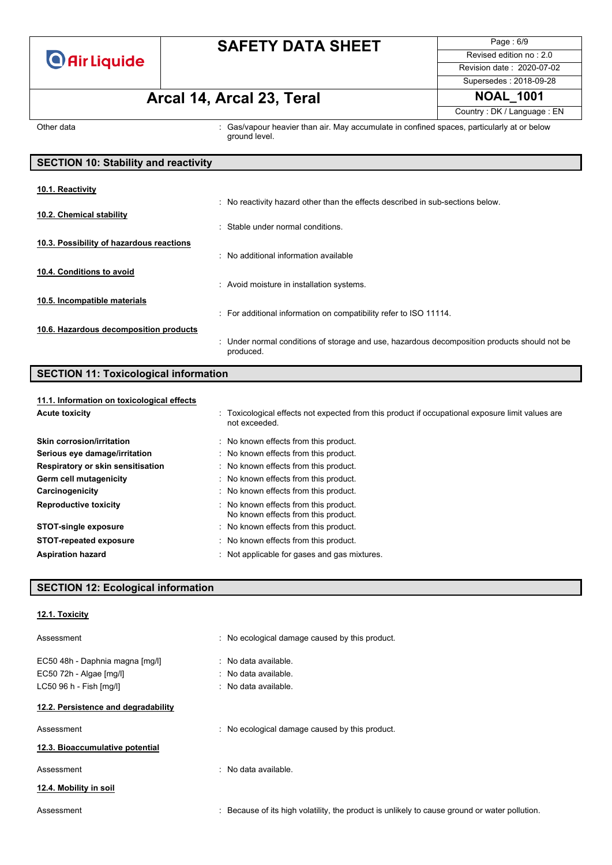

Page : 6/9 Revised edition no : 2.0 Revision date : 2020-07-02 Supersedes : 2018-09-28

Country : DK / Language : EN

# **Arcal 14, Arcal 23, Teral NOAL\_1001**

Other data **interval in the system of the Cas/vapour heavier than air.** May accumulate in confined spaces, particularly at or below ground level.

| <b>SECTION 10: Stability and reactivity</b> |                                                                                                           |  |
|---------------------------------------------|-----------------------------------------------------------------------------------------------------------|--|
| 10.1. Reactivity                            |                                                                                                           |  |
|                                             | : No reactivity hazard other than the effects described in sub-sections below.                            |  |
| 10.2. Chemical stability                    | : Stable under normal conditions.                                                                         |  |
| 10.3. Possibility of hazardous reactions    |                                                                                                           |  |
| 10.4. Conditions to avoid                   | : No additional information available                                                                     |  |
|                                             | : Avoid moisture in installation systems.                                                                 |  |
| 10.5. Incompatible materials                |                                                                                                           |  |
| 10.6. Hazardous decomposition products      | : For additional information on compatibility refer to ISO 11114.                                         |  |
|                                             | : Under normal conditions of storage and use, hazardous decomposition products should not be<br>produced. |  |

### **SECTION 11: Toxicological information**

| 11.1. Information on toxicological effects |                                                                                                                   |
|--------------------------------------------|-------------------------------------------------------------------------------------------------------------------|
| <b>Acute toxicity</b>                      | : Toxicological effects not expected from this product if occupational exposure limit values are<br>not exceeded. |
| Skin corrosion/irritation                  | : No known effects from this product.                                                                             |
| Serious eye damage/irritation              | : No known effects from this product.                                                                             |
| Respiratory or skin sensitisation          | : No known effects from this product.                                                                             |
| Germ cell mutagenicity                     | : No known effects from this product.                                                                             |
| Carcinogenicity                            | : No known effects from this product.                                                                             |
| <b>Reproductive toxicity</b>               | : No known effects from this product.<br>No known effects from this product.                                      |
| <b>STOT-single exposure</b>                | : No known effects from this product.                                                                             |
| <b>STOT-repeated exposure</b>              | : No known effects from this product.                                                                             |
| <b>Aspiration hazard</b>                   | : Not applicable for gases and gas mixtures.                                                                      |

### **SECTION 12: Ecological information**

**12.1. Toxicity**

| Assessment                                                 | : No ecological damage caused by this product.                                              |
|------------------------------------------------------------|---------------------------------------------------------------------------------------------|
| EC50 48h - Daphnia magna [mg/l]<br>EC50 72h - Algae [mg/l] | $\therefore$ No data available.<br>$\therefore$ No data available.                          |
| LC50 96 h - Fish [mg/l]                                    | $\therefore$ No data available.                                                             |
| 12.2. Persistence and degradability                        |                                                                                             |
| Assessment                                                 | : No ecological damage caused by this product.                                              |
| 12.3. Bioaccumulative potential                            |                                                                                             |
| Assessment                                                 | No data available.<br>۰.                                                                    |
| 12.4. Mobility in soil                                     |                                                                                             |
| Assessment                                                 | Because of its high volatility, the product is unlikely to cause ground or water pollution. |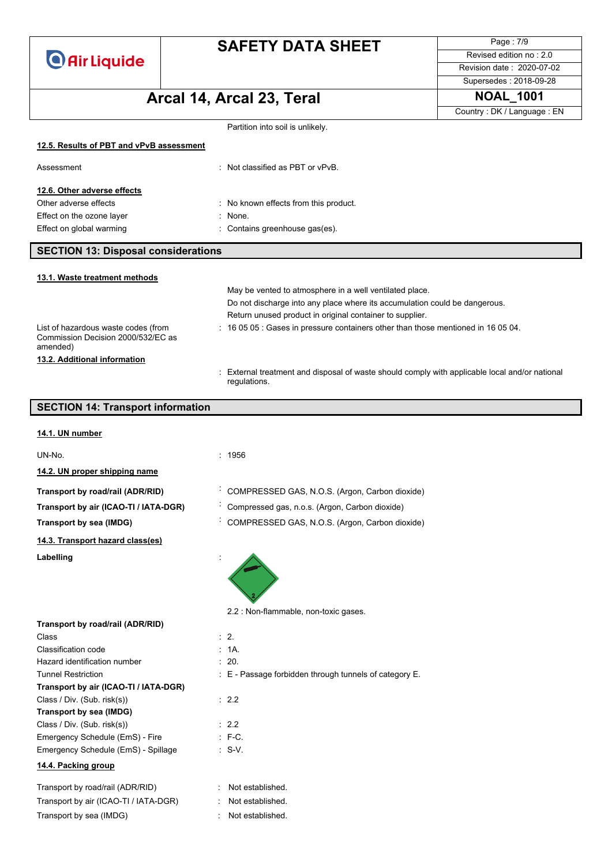**O** Air Liquide

## **SAFETY DATA SHEET**

Page : 7/9 Revised edition no : 2.0 Revision date : 2020-07-02

Supersedes : 2018-09-28

# **Arcal 14, Arcal 23, Teral NOAL\_1001**

Country : DK / Language : EN

|                                                                                       |                                                                                                              | Country: DK / Language: EN |
|---------------------------------------------------------------------------------------|--------------------------------------------------------------------------------------------------------------|----------------------------|
|                                                                                       | Partition into soil is unlikely.                                                                             |                            |
| 12.5. Results of PBT and vPvB assessment                                              |                                                                                                              |                            |
| Assessment                                                                            | : Not classified as PBT or vPvB.                                                                             |                            |
| 12.6. Other adverse effects                                                           |                                                                                                              |                            |
| Other adverse effects                                                                 | : No known effects from this product.                                                                        |                            |
| Effect on the ozone layer                                                             | None.<br>t.                                                                                                  |                            |
| Effect on global warming                                                              | Contains greenhouse gas(es).                                                                                 |                            |
| <b>SECTION 13: Disposal considerations</b>                                            |                                                                                                              |                            |
| 13.1. Waste treatment methods                                                         |                                                                                                              |                            |
|                                                                                       | May be vented to atmosphere in a well ventilated place.                                                      |                            |
|                                                                                       | Do not discharge into any place where its accumulation could be dangerous.                                   |                            |
|                                                                                       | Return unused product in original container to supplier.                                                     |                            |
| List of hazardous waste codes (from<br>Commission Decision 2000/532/EC as<br>amended) | : 16 05 05 : Gases in pressure containers other than those mentioned in 16 05 04.                            |                            |
| 13.2. Additional information                                                          |                                                                                                              |                            |
|                                                                                       | External treatment and disposal of waste should comply with applicable local and/or national<br>regulations. |                            |
| <b>SECTION 14: Transport information</b>                                              |                                                                                                              |                            |
| 14.1. UN number                                                                       |                                                                                                              |                            |
| UN-No.                                                                                | : 1956                                                                                                       |                            |
| 14.2. UN proper shipping name                                                         |                                                                                                              |                            |
| Transport by road/rail (ADR/RID)                                                      | COMPRESSED GAS, N.O.S. (Argon, Carbon dioxide)                                                               |                            |
| Transport by air (ICAO-TI / IATA-DGR)                                                 | Compressed gas, n.o.s. (Argon, Carbon dioxide)                                                               |                            |
| Transport by sea (IMDG)                                                               | COMPRESSED GAS, N.O.S. (Argon, Carbon dioxide)                                                               |                            |
| 14.3. Transport hazard class(es)                                                      |                                                                                                              |                            |
| Labelling                                                                             |                                                                                                              |                            |

2.2 : Non-flammable, non-toxic gases.

| Transport by road/rail (ADR/RID)      |                                                            |
|---------------------------------------|------------------------------------------------------------|
| Class                                 | $\therefore$ 2.                                            |
| Classification code                   | : 1A.                                                      |
| Hazard identification number          | : 20.                                                      |
| <b>Tunnel Restriction</b>             | $\pm$ E - Passage forbidden through tunnels of category E. |
| Transport by air (ICAO-TI / IATA-DGR) |                                                            |
| Class / Div. (Sub. risk(s))           | : 2.2                                                      |
| Transport by sea (IMDG)               |                                                            |
| Class / Div. (Sub. risk(s))           | : 2.2                                                      |
| Emergency Schedule (EmS) - Fire       | $E - C$                                                    |
| Emergency Schedule (EmS) - Spillage   | $: S-V.$                                                   |
| 14.4. Packing group                   |                                                            |
| Transport by road/rail (ADR/RID)      | Not established.                                           |
| Transport by air (ICAO-TI / IATA-DGR) | Not established.                                           |

Transport by sea (IMDG) : Not established.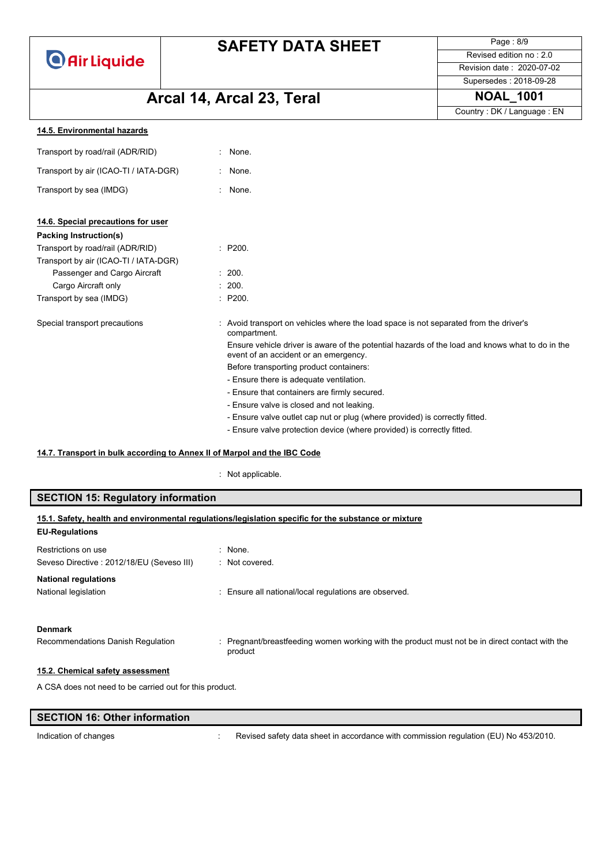**O** Air Liquide

## **SAFETY DATA SHEET**

Page : 8/9 Revised edition no : 2.0 Revision date : 2020-07-02

Supersedes : 2018-09-28

# **Arcal 14, Arcal 23, Teral NOAL\_1001**

Country : DK / Language : EN

| 14.5. Environmental hazards |  |
|-----------------------------|--|
|                             |  |

| Transport by road/rail (ADR/RID)      | : None.                                                                                                                                  |
|---------------------------------------|------------------------------------------------------------------------------------------------------------------------------------------|
| Transport by air (ICAO-TI / IATA-DGR) | : None.                                                                                                                                  |
| Transport by sea (IMDG)               | None.                                                                                                                                    |
| 14.6. Special precautions for user    |                                                                                                                                          |
| Packing Instruction(s)                |                                                                                                                                          |
| Transport by road/rail (ADR/RID)      | : P200.                                                                                                                                  |
| Transport by air (ICAO-TI / IATA-DGR) |                                                                                                                                          |
| Passenger and Cargo Aircraft          | : 200.                                                                                                                                   |
| Cargo Aircraft only                   | : 200.                                                                                                                                   |
| Transport by sea (IMDG)               | : P200.                                                                                                                                  |
| Special transport precautions         | : Avoid transport on vehicles where the load space is not separated from the driver's<br>compartment.                                    |
|                                       | Ensure vehicle driver is aware of the potential hazards of the load and knows what to do in the<br>event of an accident or an emergency. |
|                                       | Before transporting product containers:                                                                                                  |
|                                       | - Ensure there is adequate ventilation.                                                                                                  |
|                                       | - Ensure that containers are firmly secured.                                                                                             |
|                                       | - Ensure valve is closed and not leaking.                                                                                                |
|                                       | - Ensure valve outlet cap nut or plug (where provided) is correctly fitted.                                                              |
|                                       | - Ensure valve protection device (where provided) is correctly fitted.                                                                   |

#### **14.7. Transport in bulk according to Annex II of Marpol and the IBC Code**

: Not applicable.

| <b>SECTION 15: Regulatory information</b>               |                                                                                                         |  |
|---------------------------------------------------------|---------------------------------------------------------------------------------------------------------|--|
| <b>EU-Regulations</b>                                   | 15.1. Safety, health and environmental regulations/legislation specific for the substance or mixture    |  |
| Restrictions on use                                     | : None.                                                                                                 |  |
| Seveso Directive: 2012/18/EU (Seveso III)               | : Not covered.                                                                                          |  |
| <b>National regulations</b><br>National legislation     | : Ensure all national/local regulations are observed.                                                   |  |
| <b>Denmark</b>                                          |                                                                                                         |  |
| Recommendations Danish Regulation                       | Pregnant/breastfeeding women working with the product must not be in direct contact with the<br>product |  |
| 15.2. Chemical safety assessment                        |                                                                                                         |  |
| A CSA does not need to be carried out for this product. |                                                                                                         |  |

| SECTION 16: Other information |  |
|-------------------------------|--|
|-------------------------------|--|

Indication of changes **interval of the COV**: Revised safety data sheet in accordance with commission regulation (EU) No 453/2010.